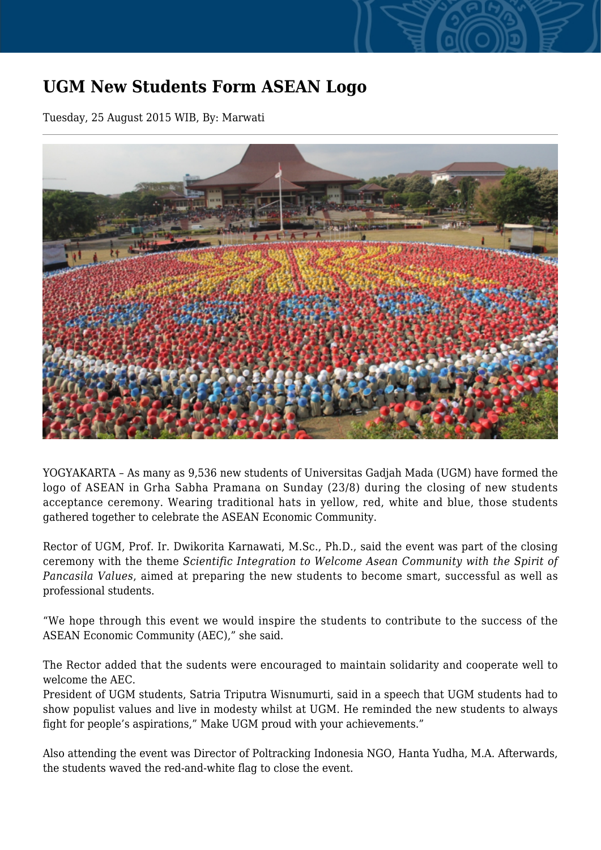## **UGM New Students Form ASEAN Logo**

Tuesday, 25 August 2015 WIB, By: Marwati



YOGYAKARTA – As many as 9,536 new students of Universitas Gadjah Mada (UGM) have formed the logo of ASEAN in Grha Sabha Pramana on Sunday (23/8) during the closing of new students acceptance ceremony. Wearing traditional hats in yellow, red, white and blue, those students gathered together to celebrate the ASEAN Economic Community.

Rector of UGM, Prof. Ir. Dwikorita Karnawati, M.Sc., Ph.D., said the event was part of the closing ceremony with the theme *Scientific Integration to Welcome Asean Community with the Spirit of Pancasila Values*, aimed at preparing the new students to become smart, successful as well as professional students.

"We hope through this event we would inspire the students to contribute to the success of the ASEAN Economic Community (AEC)," she said.

The Rector added that the sudents were encouraged to maintain solidarity and cooperate well to welcome the AEC.

President of UGM students, Satria Triputra Wisnumurti, said in a speech that UGM students had to show populist values and live in modesty whilst at UGM. He reminded the new students to always fight for people's aspirations," Make UGM proud with your achievements."

Also attending the event was Director of Poltracking Indonesia NGO, Hanta Yudha, M.A. Afterwards, the students waved the red-and-white flag to close the event.